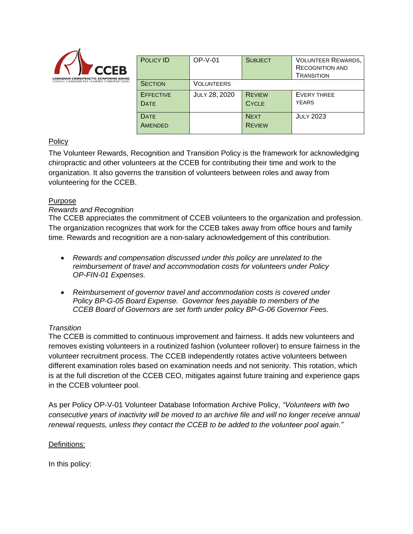

| <b>POLICY ID</b>                | <b>OP-V-01</b>       | <b>SUBJECT</b>                | <b>VOLUNTEER REWARDS,</b><br><b>RECOGNITION AND</b><br><b>TRANSITION</b> |
|---------------------------------|----------------------|-------------------------------|--------------------------------------------------------------------------|
| <b>SECTION</b>                  | VOLUNTEERS           |                               |                                                                          |
| <b>EFFECTIVE</b><br><b>DATE</b> | <b>JULY 28, 2020</b> | <b>REVIEW</b><br><b>CYCLE</b> | EVERY THREE<br><b>YEARS</b>                                              |
| <b>DATE</b><br>AMENDED          |                      | <b>NEXT</b><br><b>REVIEW</b>  | <b>JULY 2023</b>                                                         |

# **Policy**

The Volunteer Rewards, Recognition and Transition Policy is the framework for acknowledging chiropractic and other volunteers at the CCEB for contributing their time and work to the organization. It also governs the transition of volunteers between roles and away from volunteering for the CCEB.

### Purpose

### *Rewards and Recognition*

The CCEB appreciates the commitment of CCEB volunteers to the organization and profession. The organization recognizes that work for the CCEB takes away from office hours and family time. Rewards and recognition are a non-salary acknowledgement of this contribution.

- *Rewards and compensation discussed under this policy are unrelated to the reimbursement of travel and accommodation costs for volunteers under Policy OP-FIN-01 Expenses.*
- *Reimbursement of governor travel and accommodation costs is covered under Policy BP-G-05 Board Expense. Governor fees payable to members of the CCEB Board of Governors are set forth under policy BP-G-06 Governor Fees.*

# *Transition*

The CCEB is committed to continuous improvement and fairness. It adds new volunteers and removes existing volunteers in a routinized fashion (volunteer rollover) to ensure fairness in the volunteer recruitment process. The CCEB independently rotates active volunteers between different examination roles based on examination needs and not seniority. This rotation, which is at the full discretion of the CCEB CEO, mitigates against future training and experience gaps in the CCEB volunteer pool.

As per Policy OP-V-01 Volunteer Database Information Archive Policy, *"Volunteers with two consecutive years of inactivity will be moved to an archive file and will no longer receive annual renewal requests, unless they contact the CCEB to be added to the volunteer pool again."*

### Definitions:

In this policy: